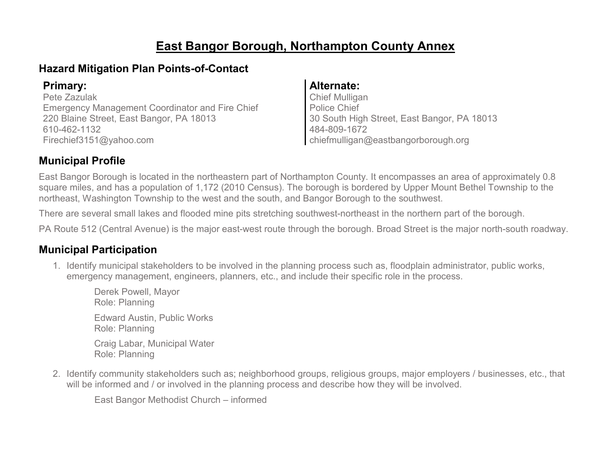# **East Bangor Borough, Northampton County Annex**

### **Hazard Mitigation Plan Points-of-Contact**

Pete Zazulak Emergency Management Coordinator and Fire Chief 220 Blaine Street, East Bangor, PA 18013 610-462-1132 Firechief3151@yahoo.com

#### **Primary: Alternate:**

Chief Mulligan Police Chief 30 South High Street, East Bangor, PA 18013 484-809-1672 chiefmulligan@eastbangorborough.org

### **Municipal Profile**

East Bangor Borough is located in the northeastern part of Northampton County. It encompasses an area of approximately 0.8 square miles, and has a population of 1,172 (2010 Census). The borough is bordered by Upper Mount Bethel Township to the northeast, Washington Township to the west and the south, and Bangor Borough to the southwest.

There are several small lakes and flooded mine pits stretching southwest-northeast in the northern part of the borough.

PA Route 512 (Central Avenue) is the major east-west route through the borough. Broad Street is the major north-south roadway.

### **Municipal Participation**

1. Identify municipal stakeholders to be involved in the planning process such as, floodplain administrator, public works, emergency management, engineers, planners, etc., and include their specific role in the process.

Derek Powell, Mayor Role: Planning Edward Austin, Public Works Role: Planning Craig Labar, Municipal Water Role: Planning

2. Identify community stakeholders such as; neighborhood groups, religious groups, major employers / businesses, etc., that will be informed and / or involved in the planning process and describe how they will be involved.

East Bangor Methodist Church – informed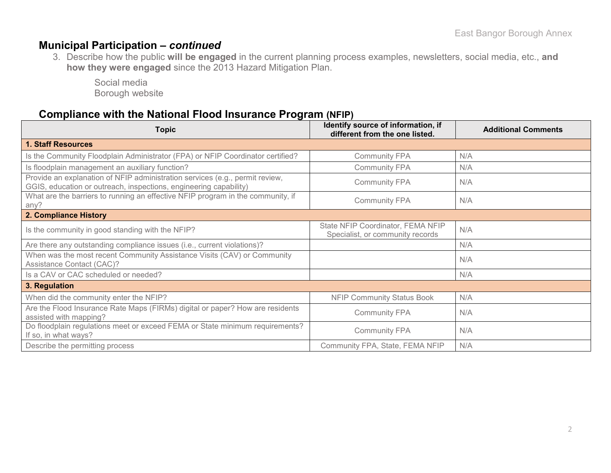### **Municipal Participation –** *continued*

3. Describe how the public **will be engaged** in the current planning process examples, newsletters, social media, etc., **and how they were engaged** since the 2013 Hazard Mitigation Plan.

Social media Borough website

### **Compliance with the National Flood Insurance Program (NFIP)**

| <b>Topic</b>                                                                                                                                      | Identify source of information, if<br>different from the one listed.  | <b>Additional Comments</b> |
|---------------------------------------------------------------------------------------------------------------------------------------------------|-----------------------------------------------------------------------|----------------------------|
| <b>1. Staff Resources</b>                                                                                                                         |                                                                       |                            |
| Is the Community Floodplain Administrator (FPA) or NFIP Coordinator certified?                                                                    | <b>Community FPA</b>                                                  | N/A                        |
| Is floodplain management an auxiliary function?                                                                                                   | <b>Community FPA</b>                                                  | N/A                        |
| Provide an explanation of NFIP administration services (e.g., permit review,<br>GGIS, education or outreach, inspections, engineering capability) | <b>Community FPA</b>                                                  | N/A                        |
| What are the barriers to running an effective NFIP program in the community, if<br>any?                                                           | N/A                                                                   |                            |
| 2. Compliance History                                                                                                                             |                                                                       |                            |
| Is the community in good standing with the NFIP?                                                                                                  | State NFIP Coordinator, FEMA NFIP<br>Specialist, or community records | N/A                        |
| Are there any outstanding compliance issues (i.e., current violations)?                                                                           |                                                                       | N/A                        |
| When was the most recent Community Assistance Visits (CAV) or Community<br><b>Assistance Contact (CAC)?</b>                                       |                                                                       | N/A                        |
| Is a CAV or CAC scheduled or needed?                                                                                                              |                                                                       | N/A                        |
| 3. Regulation                                                                                                                                     |                                                                       |                            |
| When did the community enter the NFIP?                                                                                                            | <b>NFIP Community Status Book</b>                                     | N/A                        |
| Are the Flood Insurance Rate Maps (FIRMs) digital or paper? How are residents<br>assisted with mapping?                                           | <b>Community FPA</b>                                                  | N/A                        |
| Do floodplain regulations meet or exceed FEMA or State minimum requirements?<br>If so, in what ways?                                              | <b>Community FPA</b>                                                  | N/A                        |
| Describe the permitting process                                                                                                                   | Community FPA, State, FEMA NFIP                                       | N/A                        |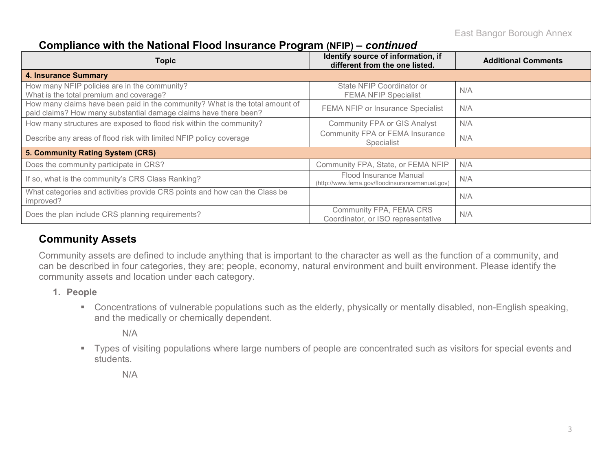#### **Compliance with the National Flood Insurance Program (NFIP) –** *continued*

| <b>Topic</b>                                                                                                                                     | Identify source of information, if<br>different from the one listed.     | <b>Additional Comments</b> |
|--------------------------------------------------------------------------------------------------------------------------------------------------|--------------------------------------------------------------------------|----------------------------|
| <b>4. Insurance Summary</b>                                                                                                                      |                                                                          |                            |
| How many NFIP policies are in the community?<br>What is the total premium and coverage?                                                          | State NFIP Coordinator or<br><b>FEMA NFIP Specialist</b>                 | N/A                        |
| How many claims have been paid in the community? What is the total amount of<br>paid claims? How many substantial damage claims have there been? | FEMA NFIP or Insurance Specialist                                        | N/A                        |
| How many structures are exposed to flood risk within the community?                                                                              | <b>Community FPA or GIS Analyst</b>                                      | N/A                        |
| Describe any areas of flood risk with limited NFIP policy coverage                                                                               | Community FPA or FEMA Insurance<br>Specialist                            | N/A                        |
| 5. Community Rating System (CRS)                                                                                                                 |                                                                          |                            |
| Does the community participate in CRS?                                                                                                           | Community FPA, State, or FEMA NFIP                                       | N/A                        |
| If so, what is the community's CRS Class Ranking?                                                                                                | Flood Insurance Manual<br>(http://www.fema.gov/floodinsurancemanual.gov) | N/A                        |
| What categories and activities provide CRS points and how can the Class be<br>improved?                                                          |                                                                          | N/A                        |
| Does the plan include CRS planning requirements?                                                                                                 | Community FPA, FEMA CRS<br>Coordinator, or ISO representative            | N/A                        |

### **Community Assets**

Community assets are defined to include anything that is important to the character as well as the function of a community, and can be described in four categories, they are; people, economy, natural environment and built environment. Please identify the community assets and location under each category.

- **1. People**
	- Concentrations of vulnerable populations such as the elderly, physically or mentally disabled, non-English speaking, and the medically or chemically dependent.

N/A

 Types of visiting populations where large numbers of people are concentrated such as visitors for special events and students.

N/A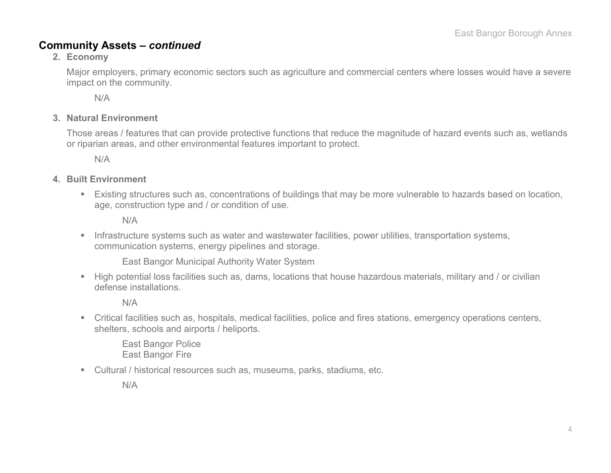#### **Community Assets –** *continued*

#### **2. Economy**

Major employers, primary economic sectors such as agriculture and commercial centers where losses would have a severe impact on the community.

N/A

#### **3. Natural Environment**

Those areas / features that can provide protective functions that reduce the magnitude of hazard events such as, wetlands or riparian areas, and other environmental features important to protect.

N/A

#### **4. Built Environment**

 Existing structures such as, concentrations of buildings that may be more vulnerable to hazards based on location, age, construction type and / or condition of use.

N/A

**Infrastructure systems such as water and wastewater facilities, power utilities, transportation systems,** communication systems, energy pipelines and storage.

East Bangor Municipal Authority Water System

 High potential loss facilities such as, dams, locations that house hazardous materials, military and / or civilian defense installations.

N/A

 Critical facilities such as, hospitals, medical facilities, police and fires stations, emergency operations centers, shelters, schools and airports / heliports.

East Bangor Police East Bangor Fire

Cultural / historical resources such as, museums, parks, stadiums, etc.

N/A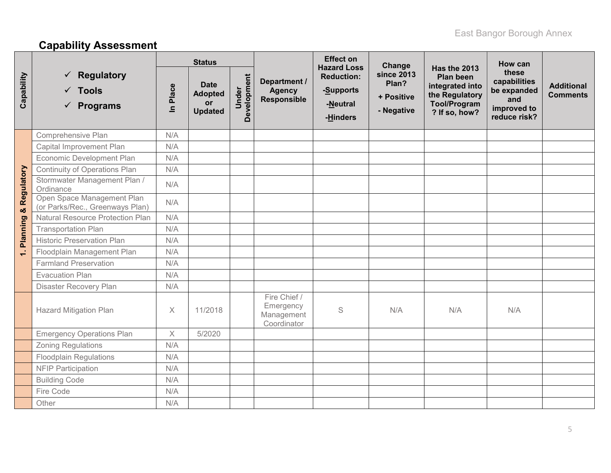# **Capability Assessment**

|            |                                                                        |                       | <b>Status</b>                                                |                      |                                                        | <b>Effect on</b><br><b>Hazard Loss</b>                 | Change                                                 |                                                                                                               | How can                                                                    |                                      |
|------------|------------------------------------------------------------------------|-----------------------|--------------------------------------------------------------|----------------------|--------------------------------------------------------|--------------------------------------------------------|--------------------------------------------------------|---------------------------------------------------------------------------------------------------------------|----------------------------------------------------------------------------|--------------------------------------|
| Capability | $\checkmark$ Regulatory<br>$\checkmark$ Tools<br>$\checkmark$ Programs | Place<br>$\mathbf{a}$ | <b>Date</b><br><b>Adopted</b><br><b>or</b><br><b>Updated</b> | Development<br>Under | Department /<br><b>Agency</b><br>Responsible           | <b>Reduction:</b><br>-Supports<br>-Neutral<br>-Hinders | <b>since 2013</b><br>Plan?<br>+ Positive<br>- Negative | Has the 2013<br><b>Plan been</b><br>integrated into<br>the Regulatory<br><b>Tool/Program</b><br>? If so, how? | these<br>capabilities<br>be expanded<br>and<br>improved to<br>reduce risk? | <b>Additional</b><br><b>Comments</b> |
|            | Comprehensive Plan                                                     | N/A                   |                                                              |                      |                                                        |                                                        |                                                        |                                                                                                               |                                                                            |                                      |
|            | Capital Improvement Plan                                               | N/A                   |                                                              |                      |                                                        |                                                        |                                                        |                                                                                                               |                                                                            |                                      |
|            | Economic Development Plan                                              | N/A                   |                                                              |                      |                                                        |                                                        |                                                        |                                                                                                               |                                                                            |                                      |
|            | Continuity of Operations Plan                                          | N/A                   |                                                              |                      |                                                        |                                                        |                                                        |                                                                                                               |                                                                            |                                      |
| Regulatory | Stormwater Management Plan /<br>Ordinance                              | N/A                   |                                                              |                      |                                                        |                                                        |                                                        |                                                                                                               |                                                                            |                                      |
| ೲ          | Open Space Management Plan<br>(or Parks/Rec., Greenways Plan)          | N/A                   |                                                              |                      |                                                        |                                                        |                                                        |                                                                                                               |                                                                            |                                      |
|            | <b>Natural Resource Protection Plan</b>                                | N/A                   |                                                              |                      |                                                        |                                                        |                                                        |                                                                                                               |                                                                            |                                      |
| Planning   | <b>Transportation Plan</b>                                             | N/A                   |                                                              |                      |                                                        |                                                        |                                                        |                                                                                                               |                                                                            |                                      |
|            | <b>Historic Preservation Plan</b>                                      | N/A                   |                                                              |                      |                                                        |                                                        |                                                        |                                                                                                               |                                                                            |                                      |
| $\div$     | Floodplain Management Plan                                             | N/A                   |                                                              |                      |                                                        |                                                        |                                                        |                                                                                                               |                                                                            |                                      |
|            | <b>Farmland Preservation</b>                                           | N/A                   |                                                              |                      |                                                        |                                                        |                                                        |                                                                                                               |                                                                            |                                      |
|            | <b>Evacuation Plan</b>                                                 | N/A                   |                                                              |                      |                                                        |                                                        |                                                        |                                                                                                               |                                                                            |                                      |
|            | Disaster Recovery Plan                                                 | N/A                   |                                                              |                      |                                                        |                                                        |                                                        |                                                                                                               |                                                                            |                                      |
|            | <b>Hazard Mitigation Plan</b>                                          | $\times$              | 11/2018                                                      |                      | Fire Chief /<br>Emergency<br>Management<br>Coordinator | S                                                      | N/A                                                    | N/A                                                                                                           | N/A                                                                        |                                      |
|            | <b>Emergency Operations Plan</b>                                       | $\times$              | 5/2020                                                       |                      |                                                        |                                                        |                                                        |                                                                                                               |                                                                            |                                      |
|            | <b>Zoning Regulations</b>                                              | N/A                   |                                                              |                      |                                                        |                                                        |                                                        |                                                                                                               |                                                                            |                                      |
|            | <b>Floodplain Regulations</b>                                          | N/A                   |                                                              |                      |                                                        |                                                        |                                                        |                                                                                                               |                                                                            |                                      |
|            | <b>NFIP Participation</b>                                              | N/A                   |                                                              |                      |                                                        |                                                        |                                                        |                                                                                                               |                                                                            |                                      |
|            | <b>Building Code</b>                                                   | N/A                   |                                                              |                      |                                                        |                                                        |                                                        |                                                                                                               |                                                                            |                                      |
|            | Fire Code                                                              | N/A                   |                                                              |                      |                                                        |                                                        |                                                        |                                                                                                               |                                                                            |                                      |
|            | Other                                                                  | N/A                   |                                                              |                      |                                                        |                                                        |                                                        |                                                                                                               |                                                                            |                                      |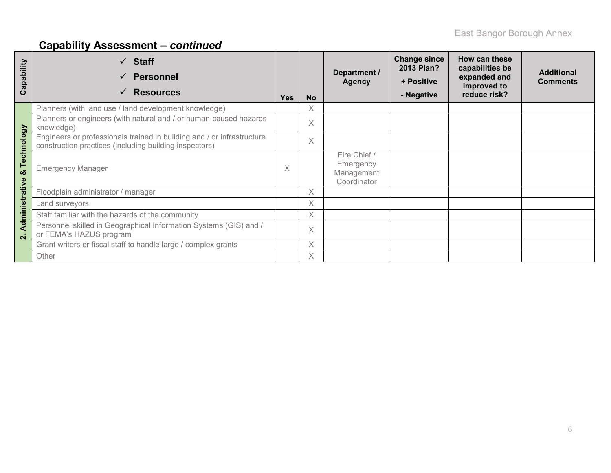# **Capability Assessment –** *continued*

| ability<br>ã<br>ပ | $\checkmark$ Staff<br><b>Personnel</b><br>✓<br><b>Resources</b><br>✓                                                             | <b>Yes</b> | <b>No</b> | Department /<br><b>Agency</b>                          | <b>Change since</b><br>2013 Plan?<br>+ Positive<br>- Negative | How can these<br>capabilities be<br>expanded and<br>improved to<br>reduce risk? | <b>Additional</b><br><b>Comments</b> |
|-------------------|----------------------------------------------------------------------------------------------------------------------------------|------------|-----------|--------------------------------------------------------|---------------------------------------------------------------|---------------------------------------------------------------------------------|--------------------------------------|
|                   | Planners (with land use / land development knowledge)                                                                            |            | $\times$  |                                                        |                                                               |                                                                                 |                                      |
|                   | Planners or engineers (with natural and / or human-caused hazards<br>knowledge)                                                  |            | $\chi$    |                                                        |                                                               |                                                                                 |                                      |
| Technology        | Engineers or professionals trained in building and / or infrastructure<br>construction practices (including building inspectors) |            | $\times$  |                                                        |                                                               |                                                                                 |                                      |
| ಯ                 | <b>Emergency Manager</b>                                                                                                         | X          |           | Fire Chief /<br>Emergency<br>Management<br>Coordinator |                                                               |                                                                                 |                                      |
|                   | Floodplain administrator / manager                                                                                               |            | X         |                                                        |                                                               |                                                                                 |                                      |
| Administrative    | Land surveyors                                                                                                                   |            | $\times$  |                                                        |                                                               |                                                                                 |                                      |
|                   | Staff familiar with the hazards of the community                                                                                 |            | X         |                                                        |                                                               |                                                                                 |                                      |
| $\overline{N}$    | Personnel skilled in Geographical Information Systems (GIS) and /<br>or FEMA's HAZUS program                                     |            | $\times$  |                                                        |                                                               |                                                                                 |                                      |
|                   | Grant writers or fiscal staff to handle large / complex grants                                                                   |            | $\times$  |                                                        |                                                               |                                                                                 |                                      |
|                   | Other                                                                                                                            |            | X         |                                                        |                                                               |                                                                                 |                                      |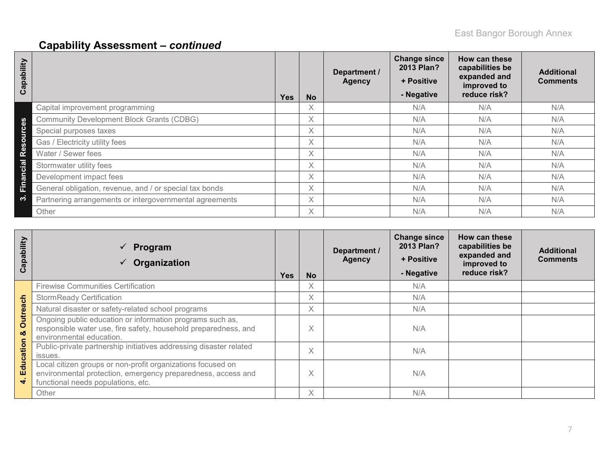# **Capability Assessment –** *continued*

| Capability                         |                                                         | <b>Yes</b> | <b>No</b>                | Department /<br><b>Agency</b> | <b>Change since</b><br>2013 Plan?<br>+ Positive<br>- Negative | How can these<br>capabilities be<br>expanded and<br>improved to<br>reduce risk? | <b>Additional</b><br><b>Comments</b> |
|------------------------------------|---------------------------------------------------------|------------|--------------------------|-------------------------------|---------------------------------------------------------------|---------------------------------------------------------------------------------|--------------------------------------|
|                                    | Capital improvement programming                         |            | $\checkmark$<br>$\wedge$ |                               | N/A                                                           | N/A                                                                             | N/A                                  |
| $\boldsymbol{\omega}$              | <b>Community Development Block Grants (CDBG)</b>        |            | $\times$                 |                               | N/A                                                           | N/A                                                                             | N/A                                  |
| $\bullet$<br>š                     | Special purposes taxes                                  |            | $\chi$                   |                               | N/A                                                           | N/A                                                                             | N/A                                  |
| $\circ$<br>$\boldsymbol{\omega}$   | Gas / Electricity utility fees                          |            | X                        |                               | N/A                                                           | N/A                                                                             | N/A                                  |
| $\mathbf{R}^{\boldsymbol{\Theta}}$ | Water / Sewer fees                                      |            | X.                       |                               | N/A                                                           | N/A                                                                             | N/A                                  |
| Cial                               | Stormwater utility fees                                 |            | X                        |                               | N/A                                                           | N/A                                                                             | N/A                                  |
| Ē                                  | Development impact fees                                 |            | X.                       |                               | N/A                                                           | N/A                                                                             | N/A                                  |
| Eina                               | General obligation, revenue, and / or special tax bonds |            | X                        |                               | N/A                                                           | N/A                                                                             | N/A                                  |
| က                                  | Partnering arrangements or intergovernmental agreements |            | $\times$                 |                               | N/A                                                           | N/A                                                                             | N/A                                  |
|                                    | Other                                                   |            | X.                       |                               | N/A                                                           | N/A                                                                             | N/A                                  |

| Capability    | $\checkmark$<br>Program<br>Organization                                                                                                                           | <b>Yes</b> | <b>No</b> | Department /<br><b>Agency</b> | <b>Change since</b><br>2013 Plan?<br>+ Positive<br>- Negative | How can these<br>capabilities be<br>expanded and<br>improved to<br>reduce risk? | <b>Additional</b><br><b>Comments</b> |
|---------------|-------------------------------------------------------------------------------------------------------------------------------------------------------------------|------------|-----------|-------------------------------|---------------------------------------------------------------|---------------------------------------------------------------------------------|--------------------------------------|
|               | <b>Firewise Communities Certification</b>                                                                                                                         |            | X         |                               | N/A                                                           |                                                                                 |                                      |
|               | <b>StormReady Certification</b>                                                                                                                                   |            | X         |                               | N/A                                                           |                                                                                 |                                      |
|               | Natural disaster or safety-related school programs                                                                                                                |            | Χ         |                               | N/A                                                           |                                                                                 |                                      |
| Outreach<br>ಯ | Ongoing public education or information programs such as,<br>responsible water use, fire safety, household preparedness, and<br>environmental education.          |            | X         |                               | N/A                                                           |                                                                                 |                                      |
| Education     | Public-private partnership initiatives addressing disaster related<br>issues.                                                                                     |            | $\times$  |                               | N/A                                                           |                                                                                 |                                      |
| 4             | Local citizen groups or non-profit organizations focused on<br>environmental protection, emergency preparedness, access and<br>functional needs populations, etc. |            | X         |                               | N/A                                                           |                                                                                 |                                      |
|               | Other                                                                                                                                                             |            | X         |                               | N/A                                                           |                                                                                 |                                      |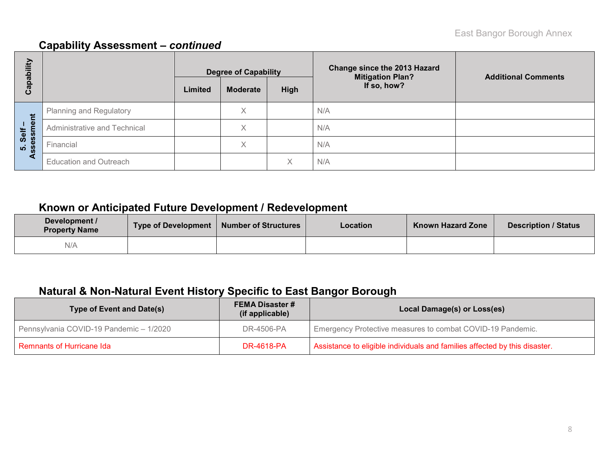## **Capability Assessment –** *continued*

| bility                                  |                                |         | <b>Degree of Capability</b> |      | Change since the 2013 Hazard<br><b>Mitigation Plan?</b> | <b>Additional Comments</b> |  |  |
|-----------------------------------------|--------------------------------|---------|-----------------------------|------|---------------------------------------------------------|----------------------------|--|--|
| ga<br>ပိ                                |                                | Limited | <b>Moderate</b>             | High | If so, how?                                             |                            |  |  |
|                                         | <b>Planning and Regulatory</b> |         | Χ                           |      | N/A                                                     |                            |  |  |
| nent<br>Self                            | Administrative and Technical   |         | X                           |      | N/A                                                     |                            |  |  |
| $\overline{\mathbf{S}}$<br><u>ທີ່ 8</u> | Financial                      |         | Χ                           |      | N/A                                                     |                            |  |  |
|                                         | <b>Education and Outreach</b>  |         |                             |      | N/A                                                     |                            |  |  |

## **Known or Anticipated Future Development / Redevelopment**

| Development /<br><b>Property Name</b> | Type of Development   Number of Structures | Location | <b>Known Hazard Zone</b> | <b>Description / Status</b> |
|---------------------------------------|--------------------------------------------|----------|--------------------------|-----------------------------|
| N/A                                   |                                            |          |                          |                             |

## **Natural & Non-Natural Event History Specific to East Bangor Borough**

| <b>Type of Event and Date(s)</b>        | <b>FEMA Disaster #</b><br>(if applicable) | Local Damage(s) or Loss(es)                                                |  |  |  |  |  |
|-----------------------------------------|-------------------------------------------|----------------------------------------------------------------------------|--|--|--|--|--|
| Pennsylvania COVID-19 Pandemic - 1/2020 | DR-4506-PA                                | Emergency Protective measures to combat COVID-19 Pandemic.                 |  |  |  |  |  |
| Remnants of Hurricane Ida               | DR-4618-PA                                | Assistance to eligible individuals and families affected by this disaster. |  |  |  |  |  |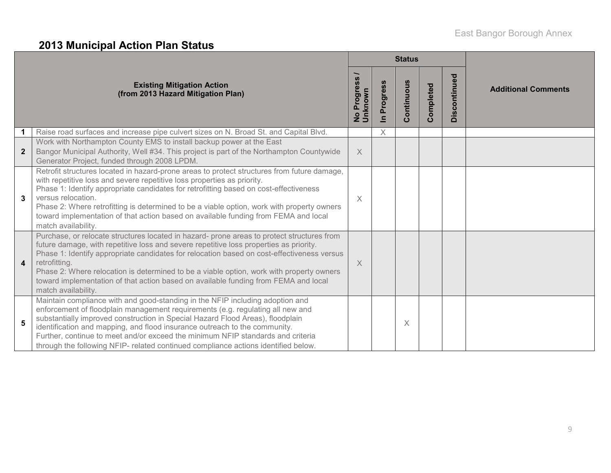# **2013 Municipal Action Plan Status**

|                  |                                                                                                                                                                                                                                                                                                                                                                                                                                                                                                               |                                  |                            | <b>Status</b> |           |              |                            |  |
|------------------|---------------------------------------------------------------------------------------------------------------------------------------------------------------------------------------------------------------------------------------------------------------------------------------------------------------------------------------------------------------------------------------------------------------------------------------------------------------------------------------------------------------|----------------------------------|----------------------------|---------------|-----------|--------------|----------------------------|--|
|                  | <b>Existing Mitigation Action</b><br>(from 2013 Hazard Mitigation Plan)                                                                                                                                                                                                                                                                                                                                                                                                                                       | Progress<br>No Progre<br>Unknown | Progress<br>$\blacksquare$ | Continuous    | Completed | Discontinued | <b>Additional Comments</b> |  |
|                  | Raise road surfaces and increase pipe culvert sizes on N. Broad St. and Capital Blvd.                                                                                                                                                                                                                                                                                                                                                                                                                         |                                  | X                          |               |           |              |                            |  |
| $\overline{2}$   | Work with Northampton County EMS to install backup power at the East<br>Bangor Municipal Authority, Well #34. This project is part of the Northampton Countywide<br>Generator Project, funded through 2008 LPDM.                                                                                                                                                                                                                                                                                              | $\times$                         |                            |               |           |              |                            |  |
| 3                | Retrofit structures located in hazard-prone areas to protect structures from future damage,<br>with repetitive loss and severe repetitive loss properties as priority.<br>Phase 1: Identify appropriate candidates for retrofitting based on cost-effectiveness<br>versus relocation.<br>Phase 2: Where retrofitting is determined to be a viable option, work with property owners<br>toward implementation of that action based on available funding from FEMA and local<br>match availability.             | $\times$                         |                            |               |           |              |                            |  |
| $\boldsymbol{4}$ | Purchase, or relocate structures located in hazard- prone areas to protect structures from<br>future damage, with repetitive loss and severe repetitive loss properties as priority.<br>Phase 1: Identify appropriate candidates for relocation based on cost-effectiveness versus<br>retrofitting.<br>Phase 2: Where relocation is determined to be a viable option, work with property owners<br>toward implementation of that action based on available funding from FEMA and local<br>match availability. | $\times$                         |                            |               |           |              |                            |  |
| 5                | Maintain compliance with and good-standing in the NFIP including adoption and<br>enforcement of floodplain management requirements (e.g. regulating all new and<br>substantially improved construction in Special Hazard Flood Areas), floodplain<br>identification and mapping, and flood insurance outreach to the community.<br>Further, continue to meet and/or exceed the minimum NFIP standards and criteria<br>through the following NFIP- related continued compliance actions identified below.      |                                  |                            | X             |           |              |                            |  |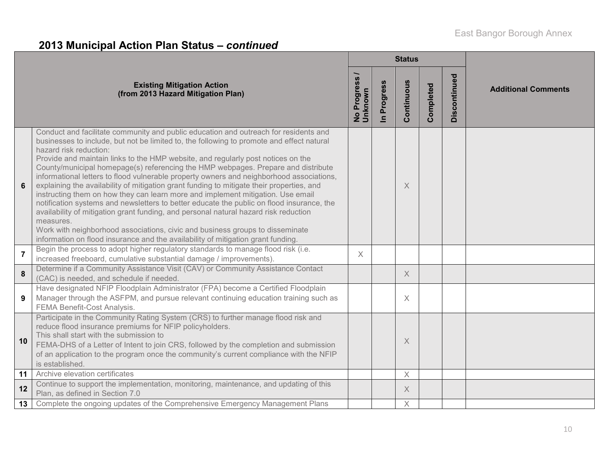# **2013 Municipal Action Plan Status –** *continued*

|                |                                                                                                                                                                                                                                                                                                                                                                                                                                                                                                                                                                                                                                                                                                                                                                                                                                                                                                                                                                                                                                         |                          |                            | <b>Status</b> |           |              |                            |
|----------------|-----------------------------------------------------------------------------------------------------------------------------------------------------------------------------------------------------------------------------------------------------------------------------------------------------------------------------------------------------------------------------------------------------------------------------------------------------------------------------------------------------------------------------------------------------------------------------------------------------------------------------------------------------------------------------------------------------------------------------------------------------------------------------------------------------------------------------------------------------------------------------------------------------------------------------------------------------------------------------------------------------------------------------------------|--------------------------|----------------------------|---------------|-----------|--------------|----------------------------|
|                | <b>Existing Mitigation Action</b><br>(from 2013 Hazard Mitigation Plan)                                                                                                                                                                                                                                                                                                                                                                                                                                                                                                                                                                                                                                                                                                                                                                                                                                                                                                                                                                 | No Progress /<br>Unknown | Progress<br>$\overline{a}$ | Continuous    | Completed | Discontinued | <b>Additional Comments</b> |
| 6              | Conduct and facilitate community and public education and outreach for residents and<br>businesses to include, but not be limited to, the following to promote and effect natural<br>hazard risk reduction:<br>Provide and maintain links to the HMP website, and regularly post notices on the<br>County/municipal homepage(s) referencing the HMP webpages. Prepare and distribute<br>informational letters to flood vulnerable property owners and neighborhood associations,<br>explaining the availability of mitigation grant funding to mitigate their properties, and<br>instructing them on how they can learn more and implement mitigation. Use email<br>notification systems and newsletters to better educate the public on flood insurance, the<br>availability of mitigation grant funding, and personal natural hazard risk reduction<br>measures.<br>Work with neighborhood associations, civic and business groups to disseminate<br>information on flood insurance and the availability of mitigation grant funding. |                          |                            | X             |           |              |                            |
| $\overline{7}$ | Begin the process to adopt higher regulatory standards to manage flood risk (i.e.<br>increased freeboard, cumulative substantial damage / improvements).                                                                                                                                                                                                                                                                                                                                                                                                                                                                                                                                                                                                                                                                                                                                                                                                                                                                                | X                        |                            |               |           |              |                            |
| 8              | Determine if a Community Assistance Visit (CAV) or Community Assistance Contact<br>(CAC) is needed, and schedule if needed.                                                                                                                                                                                                                                                                                                                                                                                                                                                                                                                                                                                                                                                                                                                                                                                                                                                                                                             |                          |                            | X             |           |              |                            |
| 9              | Have designated NFIP Floodplain Administrator (FPA) become a Certified Floodplain<br>Manager through the ASFPM, and pursue relevant continuing education training such as<br>FEMA Benefit-Cost Analysis.                                                                                                                                                                                                                                                                                                                                                                                                                                                                                                                                                                                                                                                                                                                                                                                                                                |                          |                            | X             |           |              |                            |
| 10             | Participate in the Community Rating System (CRS) to further manage flood risk and<br>reduce flood insurance premiums for NFIP policyholders.<br>This shall start with the submission to<br>FEMA-DHS of a Letter of Intent to join CRS, followed by the completion and submission<br>of an application to the program once the community's current compliance with the NFIP<br>is established.                                                                                                                                                                                                                                                                                                                                                                                                                                                                                                                                                                                                                                           |                          |                            | $\times$      |           |              |                            |
| 11             | Archive elevation certificates                                                                                                                                                                                                                                                                                                                                                                                                                                                                                                                                                                                                                                                                                                                                                                                                                                                                                                                                                                                                          |                          |                            | $\times$      |           |              |                            |
| 12             | Continue to support the implementation, monitoring, maintenance, and updating of this<br>Plan, as defined in Section 7.0                                                                                                                                                                                                                                                                                                                                                                                                                                                                                                                                                                                                                                                                                                                                                                                                                                                                                                                |                          |                            | X             |           |              |                            |
| 13             | Complete the ongoing updates of the Comprehensive Emergency Management Plans                                                                                                                                                                                                                                                                                                                                                                                                                                                                                                                                                                                                                                                                                                                                                                                                                                                                                                                                                            |                          |                            | $\times$      |           |              |                            |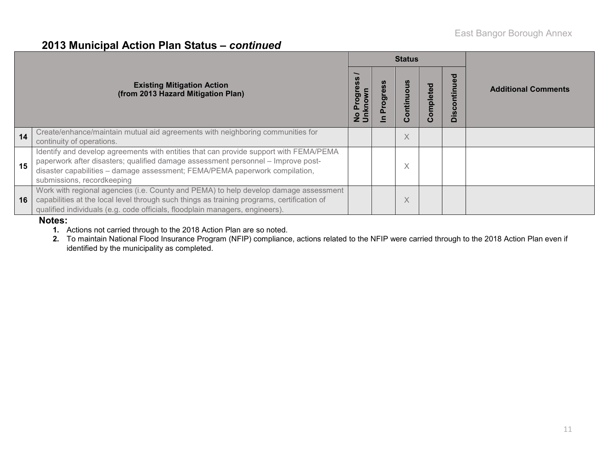#### **2013 Municipal Action Plan Status –** *continued*

|    |                                                                                                                                                                                                                                                                                        |                        |   | <b>Status</b>          |               |                                                 |                            |
|----|----------------------------------------------------------------------------------------------------------------------------------------------------------------------------------------------------------------------------------------------------------------------------------------|------------------------|---|------------------------|---------------|-------------------------------------------------|----------------------------|
|    | <b>Existing Mitigation Action</b><br>(from 2013 Hazard Mitigation Plan)                                                                                                                                                                                                                | ဖွ<br>go<br>$2\bar{5}$ | ත | ontinuo<br>$\mathbf C$ | ompleted<br>Õ | ਠ<br>$\bar{\mathbf{a}}$<br><b>S</b><br>$\Omega$ | <b>Additional Comments</b> |
| 14 | Create/enhance/maintain mutual aid agreements with neighboring communities for<br>continuity of operations.                                                                                                                                                                            |                        |   | $\times$               |               |                                                 |                            |
| 15 | Identify and develop agreements with entities that can provide support with FEMA/PEMA<br>paperwork after disasters; qualified damage assessment personnel - Improve post-<br>disaster capabilities - damage assessment; FEMA/PEMA paperwork compilation,<br>submissions, recordkeeping |                        |   | $\times$               |               |                                                 |                            |
| 16 | Work with regional agencies (i.e. County and PEMA) to help develop damage assessment<br>capabilities at the local level through such things as training programs, certification of<br>qualified individuals (e.g. code officials, floodplain managers, engineers).                     |                        |   | $\checkmark$<br>∧      |               |                                                 |                            |

#### **Notes:**

**1.** Actions not carried through to the 2018 Action Plan are so noted.

**2.** To maintain National Flood Insurance Program (NFIP) compliance, actions related to the NFIP were carried through to the 2018 Action Plan even if identified by the municipality as completed.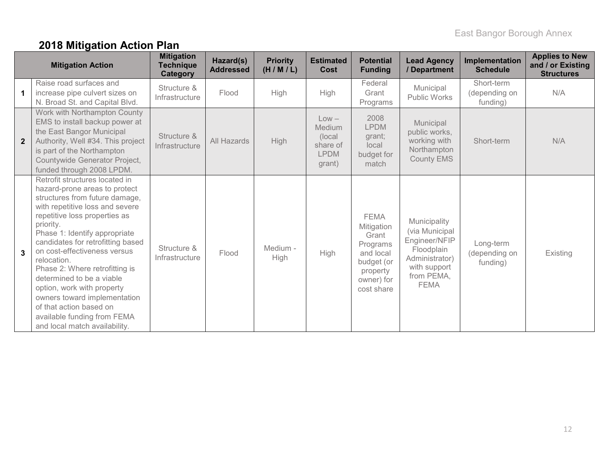# **2018 Mitigation Action Plan**

|              | <b>Mitigation Action</b>                                                                                                                                                                                                                                                                                                                                                                                                                                                                                                        | <b>Mitigation</b><br><b>Technique</b><br><b>Category</b> | Hazard(s)<br><b>Addressed</b> | <b>Priority</b><br>(H/M/L) | <b>Estimated</b><br>Cost                                          | <b>Potential</b><br><b>Funding</b>                                                                                | <b>Lead Agency</b><br>/ Department                                                                                           | Implementation<br><b>Schedule</b>       | <b>Applies to New</b><br>and / or Existing<br><b>Structures</b> |
|--------------|---------------------------------------------------------------------------------------------------------------------------------------------------------------------------------------------------------------------------------------------------------------------------------------------------------------------------------------------------------------------------------------------------------------------------------------------------------------------------------------------------------------------------------|----------------------------------------------------------|-------------------------------|----------------------------|-------------------------------------------------------------------|-------------------------------------------------------------------------------------------------------------------|------------------------------------------------------------------------------------------------------------------------------|-----------------------------------------|-----------------------------------------------------------------|
|              | Raise road surfaces and<br>increase pipe culvert sizes on<br>N. Broad St. and Capital Blvd.                                                                                                                                                                                                                                                                                                                                                                                                                                     | Structure &<br>Infrastructure                            | Flood                         | High                       | High                                                              | Federal<br>Grant<br>Programs                                                                                      | Municipal<br>Public Works                                                                                                    | Short-term<br>(depending on<br>funding) | N/A                                                             |
| $\mathbf{2}$ | Work with Northampton County<br>EMS to install backup power at<br>the East Bangor Municipal<br>Authority, Well #34. This project<br>is part of the Northampton<br>Countywide Generator Project,<br>funded through 2008 LPDM.                                                                                                                                                                                                                                                                                                    | Structure &<br>Infrastructure                            | All Hazards                   | <b>High</b>                | $Low -$<br>Medium<br>(local)<br>share of<br><b>LPDM</b><br>grant) | 2008<br><b>LPDM</b><br>grant;<br>local<br>budget for<br>match                                                     | Municipal<br>public works,<br>working with<br>Northampton<br>County EMS                                                      | Short-term                              | N/A                                                             |
| 3            | Retrofit structures located in<br>hazard-prone areas to protect<br>structures from future damage,<br>with repetitive loss and severe<br>repetitive loss properties as<br>priority.<br>Phase 1: Identify appropriate<br>candidates for retrofitting based<br>on cost-effectiveness versus<br>relocation.<br>Phase 2: Where retrofitting is<br>determined to be a viable<br>option, work with property<br>owners toward implementation<br>of that action based on<br>available funding from FEMA<br>and local match availability. | Structure &<br>Infrastructure                            | Flood                         | Medium -<br>High           | High                                                              | <b>FEMA</b><br>Mitigation<br>Grant<br>Programs<br>and local<br>budget (or<br>property<br>owner) for<br>cost share | Municipality<br>(via Municipal<br>Engineer/NFIP<br>Floodplain<br>Administrator)<br>with support<br>from PEMA,<br><b>FEMA</b> | Long-term<br>(depending on<br>funding)  | Existing                                                        |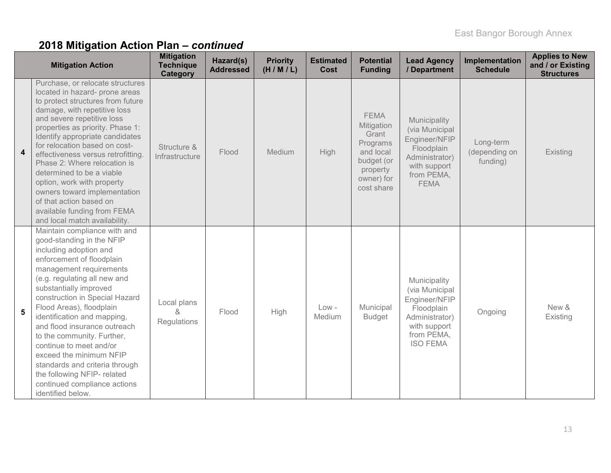|                         | <b>Mitigation Action</b>                                                                                                                                                                                                                                                                                                                                                                                                                                                                                                                     | <b>Mitigation</b><br><b>Technique</b><br>Category | Hazard(s)<br><b>Addressed</b> | <b>Priority</b><br>(H/M/L) | <b>Estimated</b><br>Cost | <b>Potential</b><br><b>Funding</b>                                                                                | <b>Lead Agency</b><br>/ Department                                                                                               | Implementation<br><b>Schedule</b>      | <b>Applies to New</b><br>and / or Existing<br><b>Structures</b> |
|-------------------------|----------------------------------------------------------------------------------------------------------------------------------------------------------------------------------------------------------------------------------------------------------------------------------------------------------------------------------------------------------------------------------------------------------------------------------------------------------------------------------------------------------------------------------------------|---------------------------------------------------|-------------------------------|----------------------------|--------------------------|-------------------------------------------------------------------------------------------------------------------|----------------------------------------------------------------------------------------------------------------------------------|----------------------------------------|-----------------------------------------------------------------|
| $\overline{\mathbf{4}}$ | Purchase, or relocate structures<br>located in hazard- prone areas<br>to protect structures from future<br>damage, with repetitive loss<br>and severe repetitive loss<br>properties as priority. Phase 1:<br>Identify appropriate candidates<br>for relocation based on cost-<br>effectiveness versus retrofitting<br>Phase 2: Where relocation is<br>determined to be a viable<br>option, work with property<br>owners toward implementation<br>of that action based on<br>available funding from FEMA<br>and local match availability.     | Structure &<br>Infrastructure                     | Flood                         | Medium                     | High                     | <b>FEMA</b><br>Mitigation<br>Grant<br>Programs<br>and local<br>budget (or<br>property<br>owner) for<br>cost share | Municipality<br>(via Municipal<br>Engineer/NFIP<br>Floodplain<br>Administrator)<br>with support<br>from PEMA,<br><b>FEMA</b>     | Long-term<br>(depending on<br>funding) | Existing                                                        |
| 5                       | Maintain compliance with and<br>good-standing in the NFIP<br>including adoption and<br>enforcement of floodplain<br>management requirements<br>(e.g. regulating all new and<br>substantially improved<br>construction in Special Hazard<br>Flood Areas), floodplain<br>identification and mapping,<br>and flood insurance outreach<br>to the community. Further,<br>continue to meet and/or<br>exceed the minimum NFIP<br>standards and criteria through<br>the following NFIP- related<br>continued compliance actions<br>identified below. | Local plans<br>&<br>Regulations                   | Flood                         | <b>High</b>                | $Low -$<br>Medium        | Municipal<br><b>Budget</b>                                                                                        | Municipality<br>(via Municipal<br>Engineer/NFIP<br>Floodplain<br>Administrator)<br>with support<br>from PEMA,<br><b>ISO FEMA</b> | Ongoing                                | New &<br>Existing                                               |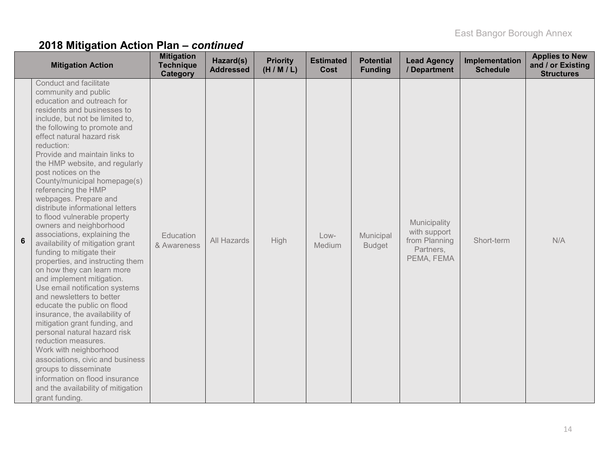| <b>Mitigation Action</b>                                                                                                                                                                                                                                                                                                                                                                                                                                                                                                                                                                                                                                                                                                                                                                                                                                                                                                                                                                                                                                                                                          | <b>Mitigation</b><br><b>Technique</b><br>Category | Hazard(s)<br><b>Addressed</b> | <b>Priority</b><br>(H/M/L) | <b>Estimated</b><br>Cost | <b>Potential</b><br><b>Funding</b> | <b>Lead Agency</b><br>/ Department                                       | Implementation<br><b>Schedule</b> | <b>Applies to New</b><br>and / or Existing<br><b>Structures</b> |
|-------------------------------------------------------------------------------------------------------------------------------------------------------------------------------------------------------------------------------------------------------------------------------------------------------------------------------------------------------------------------------------------------------------------------------------------------------------------------------------------------------------------------------------------------------------------------------------------------------------------------------------------------------------------------------------------------------------------------------------------------------------------------------------------------------------------------------------------------------------------------------------------------------------------------------------------------------------------------------------------------------------------------------------------------------------------------------------------------------------------|---------------------------------------------------|-------------------------------|----------------------------|--------------------------|------------------------------------|--------------------------------------------------------------------------|-----------------------------------|-----------------------------------------------------------------|
| Conduct and facilitate<br>community and public<br>education and outreach for<br>residents and businesses to<br>include, but not be limited to,<br>the following to promote and<br>effect natural hazard risk<br>reduction:<br>Provide and maintain links to<br>the HMP website, and regularly<br>post notices on the<br>County/municipal homepage(s)<br>referencing the HMP<br>webpages. Prepare and<br>distribute informational letters<br>to flood vulnerable property<br>owners and neighborhood<br>associations, explaining the<br>6<br>availability of mitigation grant<br>funding to mitigate their<br>properties, and instructing them<br>on how they can learn more<br>and implement mitigation.<br>Use email notification systems<br>and newsletters to better<br>educate the public on flood<br>insurance, the availability of<br>mitigation grant funding, and<br>personal natural hazard risk<br>reduction measures.<br>Work with neighborhood<br>associations, civic and business<br>groups to disseminate<br>information on flood insurance<br>and the availability of mitigation<br>grant funding. | Education<br>& Awareness                          | All Hazards                   | High                       | Low-<br>Medium           | Municipal<br><b>Budget</b>         | Municipality<br>with support<br>from Planning<br>Partners,<br>PEMA, FEMA | Short-term                        | N/A                                                             |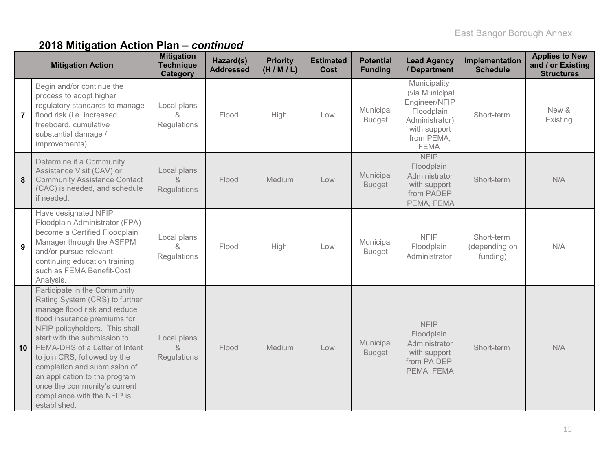|                | <b>Mitigation Action</b>                                                                                                                                                                                                                                                                                                                                                                                           | <b>Mitigation</b><br><b>Technique</b><br><b>Category</b> | Hazard(s)<br><b>Addressed</b> | <b>Priority</b><br>(H/M/L) | <b>Estimated</b><br><b>Cost</b> | <b>Potential</b><br><b>Funding</b> | <b>Lead Agency</b><br>/ Department                                                                                           | Implementation<br><b>Schedule</b>       | <b>Applies to New</b><br>and / or Existing<br><b>Structures</b> |
|----------------|--------------------------------------------------------------------------------------------------------------------------------------------------------------------------------------------------------------------------------------------------------------------------------------------------------------------------------------------------------------------------------------------------------------------|----------------------------------------------------------|-------------------------------|----------------------------|---------------------------------|------------------------------------|------------------------------------------------------------------------------------------------------------------------------|-----------------------------------------|-----------------------------------------------------------------|
| $\overline{7}$ | Begin and/or continue the<br>process to adopt higher<br>regulatory standards to manage<br>flood risk (i.e. increased<br>freeboard, cumulative<br>substantial damage /<br>improvements).                                                                                                                                                                                                                            | Local plans<br>&<br>Regulations                          | Flood                         | High                       | Low                             | Municipal<br><b>Budget</b>         | Municipality<br>(via Municipal<br>Engineer/NFIP<br>Floodplain<br>Administrator)<br>with support<br>from PEMA,<br><b>FEMA</b> | Short-term                              | New &<br>Existing                                               |
| 8              | Determine if a Community<br>Assistance Visit (CAV) or<br><b>Community Assistance Contact</b><br>(CAC) is needed, and schedule<br>if needed.                                                                                                                                                                                                                                                                        | Local plans<br>$\&$<br>Regulations                       | Flood                         | Medium                     | Low                             | Municipal<br><b>Budget</b>         | <b>NFIP</b><br>Floodplain<br>Administrator<br>with support<br>from PADEP,<br>PEMA, FEMA                                      | Short-term                              | N/A                                                             |
| 9              | Have designated NFIP<br>Floodplain Administrator (FPA)<br>become a Certified Floodplain<br>Manager through the ASFPM<br>and/or pursue relevant<br>continuing education training<br>such as FEMA Benefit-Cost<br>Analysis.                                                                                                                                                                                          | Local plans<br>$\alpha$<br>Regulations                   | Flood                         | High                       | Low                             | Municipal<br><b>Budget</b>         | <b>NFIP</b><br>Floodplain<br>Administrator                                                                                   | Short-term<br>(depending on<br>funding) | N/A                                                             |
| 10             | Participate in the Community<br>Rating System (CRS) to further<br>manage flood risk and reduce<br>flood insurance premiums for<br>NFIP policyholders. This shall<br>start with the submission to<br>FEMA-DHS of a Letter of Intent<br>to join CRS, followed by the<br>completion and submission of<br>an application to the program<br>once the community's current<br>compliance with the NFIP is<br>established. | Local plans<br>$\&$<br><b>Regulations</b>                | Flood                         | Medium                     | Low                             | Municipal<br><b>Budget</b>         | <b>NFIP</b><br>Floodplain<br>Administrator<br>with support<br>from PA DEP,<br>PEMA, FEMA                                     | Short-term                              | N/A                                                             |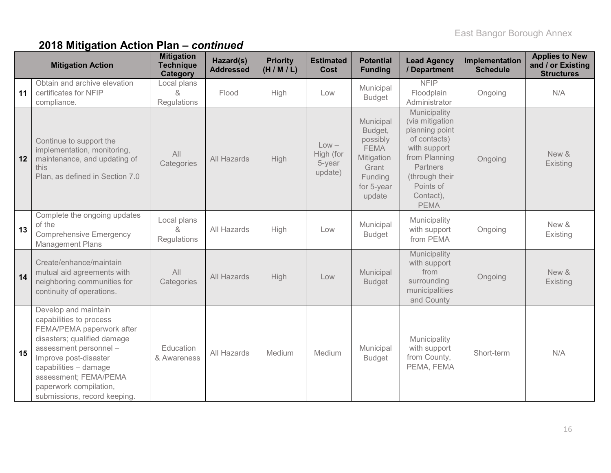|    | <b>Mitigation Action</b>                                                                                                                                                                                                                                                   | <b>Mitigation</b><br><b>Technique</b><br>Category | Hazard(s)<br><b>Addressed</b> | <b>Priority</b><br>(H/M/L) | <b>Estimated</b><br>Cost                  | <b>Potential</b><br><b>Funding</b>                                                                        | <b>Lead Agency</b><br>/ Department                                                                                                                                        | Implementation<br><b>Schedule</b> | <b>Applies to New</b><br>and / or Existing<br><b>Structures</b> |
|----|----------------------------------------------------------------------------------------------------------------------------------------------------------------------------------------------------------------------------------------------------------------------------|---------------------------------------------------|-------------------------------|----------------------------|-------------------------------------------|-----------------------------------------------------------------------------------------------------------|---------------------------------------------------------------------------------------------------------------------------------------------------------------------------|-----------------------------------|-----------------------------------------------------------------|
| 11 | Obtain and archive elevation<br>certificates for NFIP<br>compliance.                                                                                                                                                                                                       | Local plans<br>&<br>Regulations                   | Flood                         | High                       | Low                                       | Municipal<br><b>Budget</b>                                                                                | <b>NFIP</b><br>Floodplain<br>Administrator                                                                                                                                | Ongoing                           | N/A                                                             |
| 12 | Continue to support the<br>implementation, monitoring,<br>maintenance, and updating of<br>this<br>Plan, as defined in Section 7.0                                                                                                                                          | All<br>Categories                                 | All Hazards                   | High                       | $Low -$<br>High (for<br>5-year<br>update) | Municipal<br>Budget,<br>possibly<br><b>FEMA</b><br>Mitigation<br>Grant<br>Funding<br>for 5-year<br>update | Municipality<br>(via mitigation<br>planning point<br>of contacts)<br>with support<br>from Planning<br>Partners<br>(through their<br>Points of<br>Contact),<br><b>PEMA</b> | Ongoing                           | New &<br>Existing                                               |
| 13 | Complete the ongoing updates<br>of the<br><b>Comprehensive Emergency</b><br><b>Management Plans</b>                                                                                                                                                                        | Local plans<br>&<br>Regulations                   | All Hazards                   | High                       | Low                                       | Municipal<br><b>Budget</b>                                                                                | Municipality<br>with support<br>from PEMA                                                                                                                                 | Ongoing                           | New &<br>Existing                                               |
| 14 | Create/enhance/maintain<br>mutual aid agreements with<br>neighboring communities for<br>continuity of operations.                                                                                                                                                          | All<br>Categories                                 | All Hazards                   | High                       | Low                                       | Municipal<br><b>Budget</b>                                                                                | Municipality<br>with support<br>from<br>surrounding<br>municipalities<br>and County                                                                                       | Ongoing                           | New &<br>Existing                                               |
| 15 | Develop and maintain<br>capabilities to process<br>FEMA/PEMA paperwork after<br>disasters; qualified damage<br>assessment personnel -<br>Improve post-disaster<br>capabilities - damage<br>assessment; FEMA/PEMA<br>paperwork compilation,<br>submissions, record keeping. | Education<br>& Awareness                          | All Hazards                   | Medium                     | Medium                                    | Municipal<br><b>Budget</b>                                                                                | Municipality<br>with support<br>from County,<br>PEMA, FEMA                                                                                                                | Short-term                        | N/A                                                             |